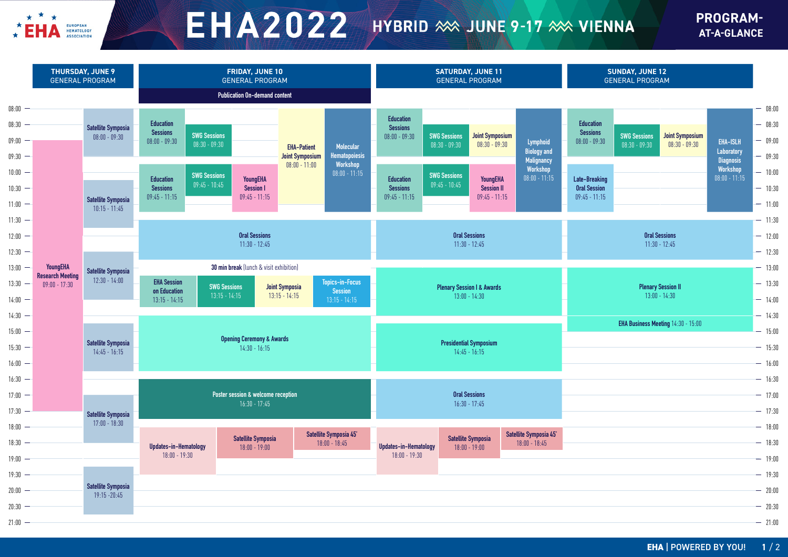

## $E H A 2022$  HYBRID  $\gg$  JUNE 9-17  $\gg$  VIENNA

## **PROGRAM-AT-A-GLANCE**